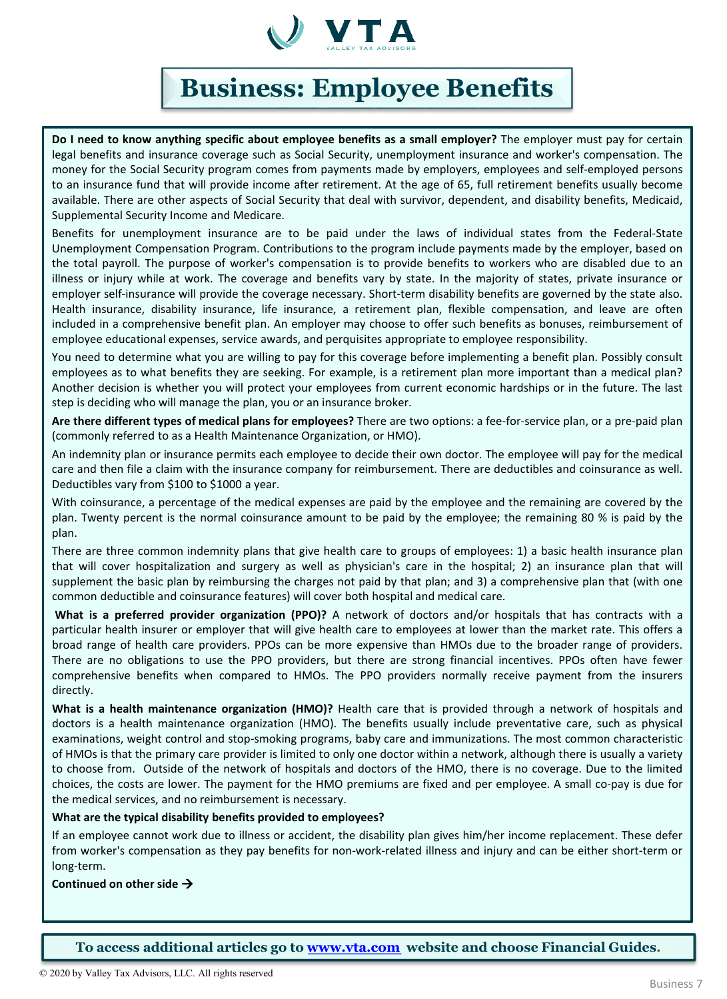

# **Business: Employee Benefits**

**Do I need to know anything specific about employee benefits as a small employer?** The employer must pay for certain legal benefits and insurance coverage such as Social Security, unemployment insurance and worker's compensation. The money for the Social Security program comes from payments made by employers, employees and self-employed persons to an insurance fund that will provide income after retirement. At the age of 65, full retirement benefits usually become available. There are other aspects of Social Security that deal with survivor, dependent, and disability benefits, Medicaid, Supplemental Security Income and Medicare.

Benefits for unemployment insurance are to be paid under the laws of individual states from the Federal-State Unemployment Compensation Program. Contributions to the program include payments made by the employer, based on the total payroll. The purpose of worker's compensation is to provide benefits to workers who are disabled due to an illness or injury while at work. The coverage and benefits vary by state. In the majority of states, private insurance or employer self-insurance will provide the coverage necessary. Short-term disability benefits are governed by the state also. Health insurance, disability insurance, life insurance, a retirement plan, flexible compensation, and leave are often included in a comprehensive benefit plan. An employer may choose to offer such benefits as bonuses, reimbursement of employee educational expenses, service awards, and perquisites appropriate to employee responsibility.

You need to determine what you are willing to pay for this coverage before implementing a benefit plan. Possibly consult employees as to what benefits they are seeking. For example, is a retirement plan more important than a medical plan? Another decision is whether you will protect your employees from current economic hardships or in the future. The last step is deciding who will manage the plan, you or an insurance broker.

**Are there different types of medical plans for employees?** There are two options: a fee-for-service plan, or a pre-paid plan (commonly referred to as a Health Maintenance Organization, or HMO).

An indemnity plan or insurance permits each employee to decide their own doctor. The employee will pay for the medical care and then file a claim with the insurance company for reimbursement. There are deductibles and coinsurance as well. Deductibles vary from \$100 to \$1000 a year.

With coinsurance, a percentage of the medical expenses are paid by the employee and the remaining are covered by the plan. Twenty percent is the normal coinsurance amount to be paid by the employee; the remaining 80 % is paid by the plan.

There are three common indemnity plans that give health care to groups of employees: 1) a basic health insurance plan that will cover hospitalization and surgery as well as physician's care in the hospital; 2) an insurance plan that will supplement the basic plan by reimbursing the charges not paid by that plan; and 3) a comprehensive plan that (with one common deductible and coinsurance features) will cover both hospital and medical care.

**What is a preferred provider organization (PPO)?** A network of doctors and/or hospitals that has contracts with a particular health insurer or employer that will give health care to employees at lower than the market rate. This offers a broad range of health care providers. PPOs can be more expensive than HMOs due to the broader range of providers. There are no obligations to use the PPO providers, but there are strong financial incentives. PPOs often have fewer comprehensive benefits when compared to HMOs. The PPO providers normally receive payment from the insurers directly.

**What is a health maintenance organization (HMO)?** Health care that is provided through a network of hospitals and doctors is a health maintenance organization (HMO). The benefits usually include preventative care, such as physical examinations, weight control and stop-smoking programs, baby care and immunizations. The most common characteristic of HMOs is that the primary care provider is limited to only one doctor within a network, although there is usually a variety to choose from. Outside of the network of hospitals and doctors of the HMO, there is no coverage. Due to the limited choices, the costs are lower. The payment for the HMO premiums are fixed and per employee. A small co-pay is due for the medical services, and no reimbursement is necessary.

## **What are the typical disability benefits provided to employees?**

If an employee cannot work due to illness or accident, the disability plan gives him/her income replacement. These defer from worker's compensation as they pay benefits for non-work-related illness and injury and can be either short-term or long-term.

## **Continued on other side**

**To access additional articles go to [www.vta.com](http://www.vta.com/) website and choose Financial Guides.**